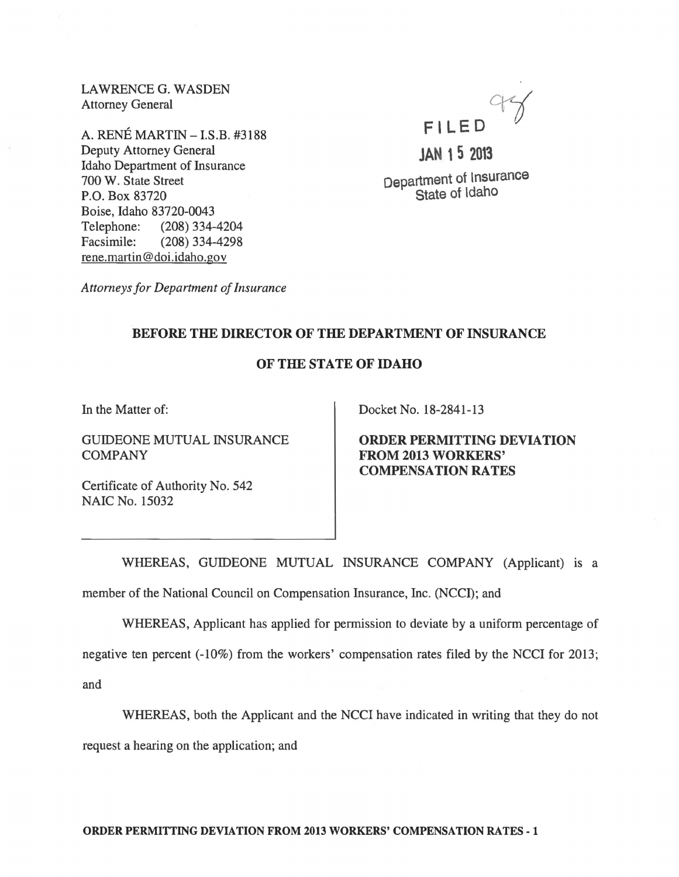LAWRENCEG. WASDEN Attorney General

A. RENE MARTIN -I.S.B. #3188 Deputy Attorney General Idaho Department of Insurance 700 W. State Street P.O. Box 83720 Boise, Idaho 83720-0043 Telephone: (208) 334-4204 Facsimile: (208) 334-4298 rene.martin@doi.idaho.gov



**Department of Insurance State of Idaho** 

*Attorneys for Department of Insurance* 

## **BEFORE THE DIRECTOR OF THE DEPARTMENT OF INSURANCE**

## **OF THE STATE OF IDAHO**

In the Matter of:

GUIDEONE MUTUAL INSURANCE COMPANY

Certificate of Authority No. 542 NAIC No. 15032

Docket No. 18-2841-13

**ORDER PERMITTING DEVIATION FROM 2013 WORKERS' COMPENSATION RATES** 

WHEREAS, GUIDEONE MUTUAL INSURANCE COMPANY (Applicant) is a member of the National Council on Compensation Insurance, Inc. (NCCI); and

WHEREAS, Applicant has applied for permission to deviate by a uniform percentage of

negative ten percent (-10%) from the workers' compensation rates filed by the NCCI for 2013; and

WHEREAS, both the Applicant and the NCCI have indicated in writing that they do not

request a hearing on the application; and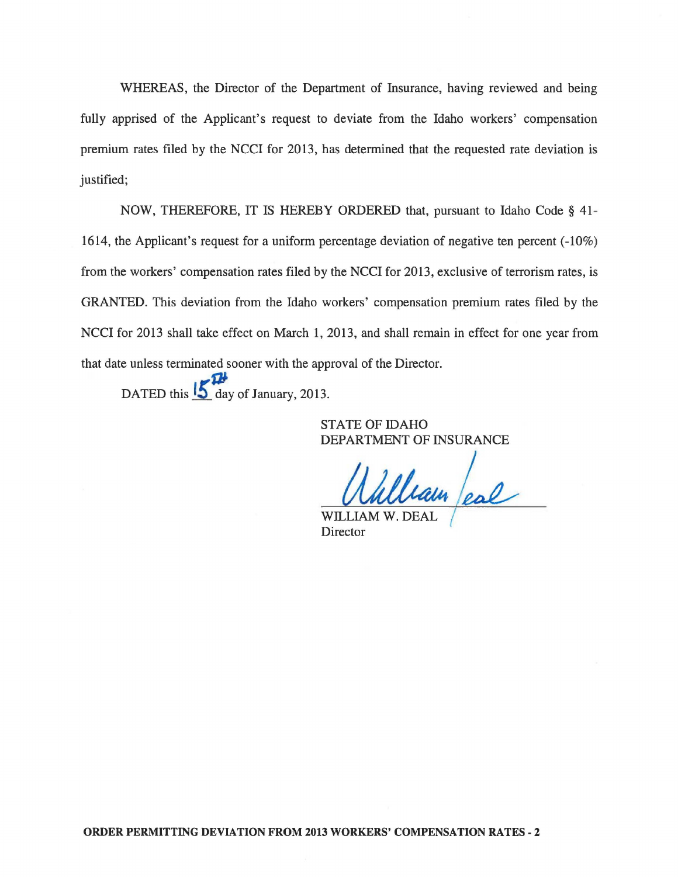WHEREAS, the Director of the Department of Insurance, having reviewed and being fully apprised of the Applicant's request to deviate from the Idaho workers' compensation premium rates filed by the NCCI for 2013, has determined that the requested rate deviation is justified;

NOW, THEREFORE, IT IS HEREBY ORDERED that, pursuant to Idaho Code § 41 - 1614, the Applicant's request for a uniform percentage deviation of negative ten percent (-10%) from the workers' compensation rates filed by the NCCI for 2013, exclusive of terrorism rates, is GRANTED. This deviation from the Idaho workers' compensation premium rates filed by the NCCI for 2013 shall take effect on March 1, 2013, and shall remain in effect for one year from that date unless terminated sooner with the approval of the Director.

 $\boldsymbol{\mu}$ DATED this  $\frac{15}{10}$  day of January, 2013.

> STATE OF IDAHO DEPARTMENT OF INSURANCE

 $u$ un /eal

WILLIAM **Director**